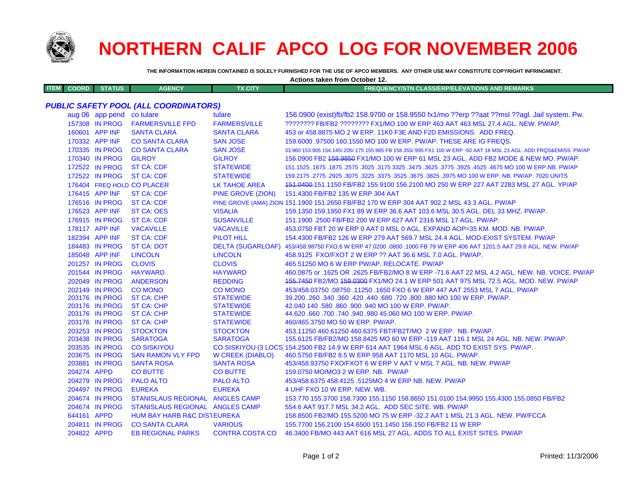

## **NORTHERN CALIF APCO LOG FOR NOVEMBER 2006**

**Actions taken from October 12.**

**THE INFORMATION HEREIN CONTAINED IS SOLELY FURNISHED FOR THE USE OF APCO MEMBERS. ANY OTHER USE MAY CONSTITUTE COPYRIGHT INFRINGMENT.**

| <b>ITEM</b><br><b>COORD</b>                  | <b>STATUS</b>                    | <b>AGENCY</b>                                  | <b>TX CITY</b>           | <b>FREQUENCY/STN CLASS/ERP/ELEVATIONS AND REMARKS</b>                                                                                                     |  |  |  |
|----------------------------------------------|----------------------------------|------------------------------------------------|--------------------------|-----------------------------------------------------------------------------------------------------------------------------------------------------------|--|--|--|
| <b>PUBLIC SAFETY POOL (ALL COORDINATORS)</b> |                                  |                                                |                          |                                                                                                                                                           |  |  |  |
|                                              | aug 06 app pend co tulare        |                                                | tulare                   | 156.0900 (exist)fb/fb2 158.9700 or 158.9550 fx1/mo ??erp ??aat ??msl ??agl. Jail system. Pw.                                                              |  |  |  |
|                                              | 157308 IN PROG                   | <b>FARMERSVILLE FPD</b>                        | <b>FARMERSVILLE</b>      | ???????? FB/FB2 ???????? FX1/MO 100 W ERP 463 AAT 463 MSL 27.4 AGL. NEW. PW/AP.                                                                           |  |  |  |
|                                              | 160601 APP INF                   | <b>SANTA CLARA</b>                             | <b>SANTA CLARA</b>       | 453 or 458,8875 MO 2 W ERP, 11K0 F3E AND F2D EMISSIONS. ADD FREQ.                                                                                         |  |  |  |
|                                              | 170332 APP INF                   | <b>CO SANTA CLARA</b>                          | <b>SAN JOSE</b>          | 159,6000 .97500 160,1550 MO 100 W ERP, PW/AP, THESE ARE IG FREQS.                                                                                         |  |  |  |
|                                              | 170335 IN PROG                   | <b>CO SANTA CLARA</b>                          | <b>SAN JOSE</b>          | 33.960 153.905 154.145/.205/.175 155.985 FB 158.355/.995 FX1 100 W ERP -50 AAT 18 MSL 23 AGL. ADD FRQS&EMISS. PW/AP                                       |  |  |  |
|                                              | 170340 IN PROG                   | <b>GILROY</b>                                  | <b>GILROY</b>            | 156.0900 FB2 458.9850 FX1/MO 100 W ERP 61 MSL 23 AGL. ADD FB2 MODE & NEW MO. PW/AP.                                                                       |  |  |  |
|                                              | 172522 IN PROG                   | <b>ST CA: CDF</b>                              | <b>STATEWIDE</b>         | 151.1525 .1675 MO 100 W ERP.NB. PW/AP .2575 .3025 .3175 3325 .3475 .3625 .3675 .3775 .4675 MO 100 W ERP.NB. PW                                            |  |  |  |
|                                              | 172522 IN PROG                   | <b>ST CA: CDF</b>                              | <b>STATEWIDE</b>         | 159.2175 .2775 .2925 .3075 .3225 .3375 .3525 .3675 .3825 .3975 MO 100 W ERP. NB. PW/AP. 7020 UNITS                                                        |  |  |  |
|                                              |                                  | 176404 FREQ HOLD CO PLACER                     | LK TAHOE AREA            | 151,0400-151,1150 FB/FB2 155,9100 156,2100 MO 250 W ERP 227 AAT 2283 MSL 27 AGL, YP/AP                                                                    |  |  |  |
|                                              | 176415 APP INF                   | ST CA: CDF                                     | <b>PINE GROVE (ZION)</b> | 151.4300 FB/FB2 135 W ERP 304 AAT                                                                                                                         |  |  |  |
|                                              | 176516 IN PROG                   | ST CA: CDF                                     |                          | PINE GROVE (AMA) ZION 151.1900 151.2650 FB/FB2 170 W ERP 304 AAT 902.2 MSL 43.3 AGL. PW/AP                                                                |  |  |  |
|                                              | 176523 APP INF                   | ST CA: OES                                     | <b>VISALIA</b>           | 159.1350 159.1950 FX1 89 W ERP 36.6 AAT 103.6 MSL 30.5 AGL. DEL 33 MHZ. PW/AP.                                                                            |  |  |  |
|                                              | 176915 IN PROG                   | <b>ST CA: CDF</b>                              | <b>SUSANVILLE</b>        | 151.1900 .2500 FB/FB2 200 W ERP 627 AAT 2316 MSL 17 AGL, PW/AP.                                                                                           |  |  |  |
|                                              | 178117 APP INF                   | <b>VACAVILLE</b>                               | <b>VACAVILLE</b>         | 453.0750 FBT 20 W ERP 0 AAT 0 MSL 0 AGL. EXPAND AOP=35 KM. MOD. NB. PW/AP.                                                                                |  |  |  |
|                                              | 182394 APP INF                   | <b>ST CA: CDF</b>                              | PILOT HILL               | 154.4300 FB/FB2 126 W ERP 279 AAT 569.7 MSL 24.4 AGL. MOD-EXIST SYSTEM. PW/AP                                                                             |  |  |  |
|                                              | 184483 IN PROG                   | <b>ST CA: DOT</b>                              |                          | DELTA (SUGARLOAF) 453/458.98750 FXO 6 W ERP 47.0200 .0800 .1000 FB 79 W ERP 406 AAT 1201.5 AAT 29.6 AGL. NEW. PW/AP                                       |  |  |  |
|                                              | 185048 APP INF                   | <b>LINCOLN</b>                                 | <b>LINCOLN</b>           | 458.9125 FXO/FXOT 2 W ERP ?? AAT 36.6 MSL 7.0 AGL. PW/AP.                                                                                                 |  |  |  |
|                                              | 201257 IN PROG                   | <b>CLOVIS</b>                                  | <b>CLOVIS</b>            | 465.51250 MO 6 W ERP PW/AP. RELOCATE. PW/AP                                                                                                               |  |  |  |
|                                              | 201544 IN PROG                   | <b>HAYWARD</b>                                 | <b>HAYWARD</b>           | 460.0875 or .1625 OR .2625 FB/FB2/MO 8 W ERP -71.6 AAT 22 MSL 4.2 AGL. NEW. NB. VOICE. PW/AP                                                              |  |  |  |
|                                              | 202049 IN PROG                   | <b>ANDERSON</b>                                | <b>REDDING</b>           | 155.7450 FB2/MO 159.0300 FX1/MO 24.1 W ERP 501 AAT 975 MSL 72.5 AGL. MOD. NEW. PW/AP                                                                      |  |  |  |
|                                              | 202149 IN PROG                   | <b>CO MONO</b>                                 | <b>CO MONO</b>           | 453/458.03750.08750.11250.1650 FXO 6 W ERP 447 AAT 2553 MSL 7 AGL. PW/AP                                                                                  |  |  |  |
|                                              | 203176 IN PROG                   | <b>ST CA: CHP</b>                              | <b>STATEWIDE</b>         | 39,200,360,340,360,420,440,680,720,800,880 MO 100 W ERP, PW/AP.                                                                                           |  |  |  |
|                                              | 203176 IN PROG                   | <b>ST CA: CHP</b>                              | <b>STATEWIDE</b>         | 42.040 140 .580 .860 .900 .940 MO 100 W ERP. PW/AP.                                                                                                       |  |  |  |
|                                              | 203176 IN PROG                   | <b>ST CA: CHP</b>                              | <b>STATEWIDE</b>         | 44.620 .660 .700 .740 .940 .980 45.060 MO 100 W ERP. PW/AP.                                                                                               |  |  |  |
|                                              | 203176 IN PROG                   | <b>ST CA: CHP</b>                              | <b>STATEWIDE</b>         | 460/465.3750 MO 50 W ERP. PW/AP.                                                                                                                          |  |  |  |
|                                              | 203253 IN PROG                   | <b>STOCKTON</b>                                | <b>STOCKTON</b>          | 453.11250 460.61250 460.6375 FBT/FB2T/MO 2 W ERP. NB. PW/AP.                                                                                              |  |  |  |
|                                              | 203438 IN PROG                   | <b>SARATOGA</b>                                | <b>SARATOGA</b>          | 155.6125 FB/FB2/MO 158.8425 MO 60 W ERP -119 AAT 116.1 MSL 24 AGL. NB. NEW. PW/AP.                                                                        |  |  |  |
|                                              | 203535 IN PROG<br>203675 IN PROG | <b>CO SISKIYOU</b><br><b>SAN RAMON VLY FPD</b> | <b>W CREEK (DIABLO)</b>  | CO SISKIYOU (3 LOCS 154.2500 FB2 14.9 W ERP 614 AAT 1964 MSL 6 AGL. ADD TO EXIST SYS. PW/AP.<br>460.5750 FB/FB2 8.5 W ERP 958 AAT 1170 MSL 10 AGL. PW/AP. |  |  |  |
|                                              | 203881 IN PROG                   | <b>SANTA ROSA</b>                              | <b>SANTA ROSA</b>        | 453/458.93750 FXO/FXOT 6 W ERP V AAT V MSL 7 AGL. NB. NEW. PW/AP                                                                                          |  |  |  |
| 204274 APPD                                  |                                  | <b>CO BUTTE</b>                                | <b>CO BUTTE</b>          | 159.0750 MO/MO3 2 W ERP. NB. PW/AP                                                                                                                        |  |  |  |
|                                              | 204279 IN PROG                   | <b>PALO ALTO</b>                               | <b>PALO ALTO</b>         | 453/458.6375 458.4125 .5125MO 4 W ERP NB. NEW. PW/AP                                                                                                      |  |  |  |
|                                              | 204497 IN PROG                   | <b>EUREKA</b>                                  | <b>EUREKA</b>            | 4 UHF FXO 10 W ERP. NEW. WB.                                                                                                                              |  |  |  |
|                                              | 204674 IN PROG                   | STANISLAUS REGIONAL ANGLES CAMP                |                          | 153.770 155.3700 158.7300 155.1150 158.8650 151.0100 154.9950 155.4300 155.0850 FB/FB2                                                                    |  |  |  |
|                                              | 204674 IN PROG                   | STANISLAUS REGIONAL ANGLES CAMP                |                          | 554.6 AAT 917.7 MSL 34.2 AGL. ADD SEC SITE. WB. PW/AP                                                                                                     |  |  |  |
| 644161 APPD                                  |                                  | <b>HUM BAY HARB R&amp;C DISTEUREKA</b>         |                          | 158,8500 FB2/MO 155,5200 MO 75 W ERP -32.2 AAT 1 MSL 21.3 AGL, NEW, PW/FCCA                                                                               |  |  |  |
|                                              | 204811 IN PROG                   | <b>CO SANTA CLARA</b>                          | <b>VARIOUS</b>           | 155,7700 156,2100 154,6500 151,1450 156,150 FB/FB2 11 W ERP                                                                                               |  |  |  |
| 204822 APPD                                  |                                  | <b>EB REGIONAL PARKS</b>                       | <b>CONTRA COSTA CO</b>   | 46.3400 FB/MO 443 AAT 616 MSL 27 AGL. ADDS TO ALL EXIST SITES. PW/AP                                                                                      |  |  |  |